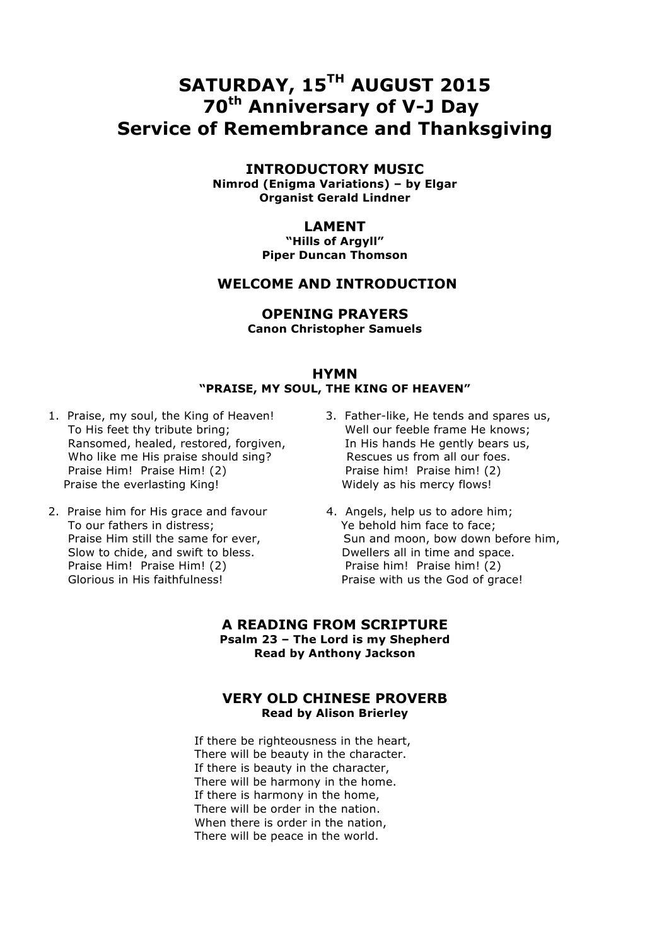# **SATURDAY, 15TH AUGUST 2015 70th Anniversary of V-J Day Service of Remembrance and Thanksgiving**

# **INTRODUCTORY MUSIC**

**Nimrod (Enigma Variations) – by Elgar Organist Gerald Lindner**

# **LAMENT**

**"Hills of Argyll" Piper Duncan Thomson**

# **WELCOME AND INTRODUCTION**

# **OPENING PRAYERS**

**Canon Christopher Samuels**

#### **HYMN "PRAISE, MY SOUL, THE KING OF HEAVEN"**

- 1. Praise, my soul, the King of Heaven! 3. Father-like, He tends and spares us, To His feet thy tribute bring; Well our feeble frame He knows; Ransomed, healed, restored, forgiven, The His hands He gently bears us, Who like me His praise should sing? Rescues us from all our foes. Praise Him! Praise Him! (2) Praise him! Praise him! (2) Praise the everlasting King! Widely as his mercy flows!
- 2. Praise him for His grace and favour 4. Angels, help us to adore him; To our fathers in distress; Ye behold him face to face; Slow to chide, and swift to bless. Dwellers all in time and space. Praise Him! Praise Him! (2) Praise him! Praise him! (2) Glorious in His faithfulness! The Series of Praise with us the God of grace!
- - Praise Him still the same for ever, Sun and moon, bow down before him,

#### **A READING FROM SCRIPTURE Psalm 23 – The Lord is my Shepherd Read by Anthony Jackson**

#### **VERY OLD CHINESE PROVERB Read by Alison Brierley**

 If there be righteousness in the heart, There will be beauty in the character. If there is beauty in the character, There will be harmony in the home. If there is harmony in the home, There will be order in the nation. When there is order in the nation, There will be peace in the world.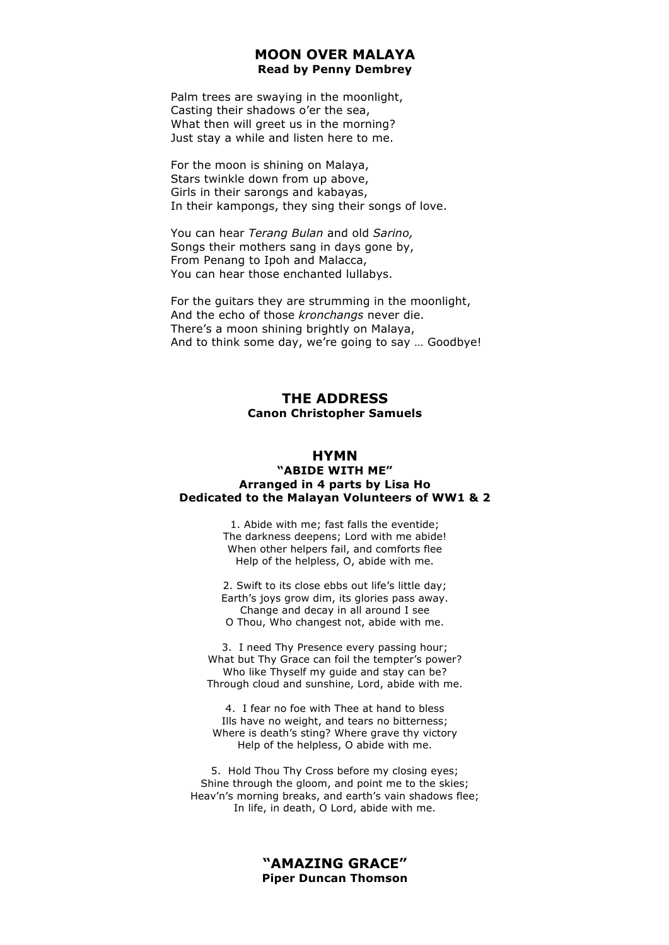#### **MOON OVER MALAYA Read by Penny Dembrey**

 Palm trees are swaying in the moonlight, Casting their shadows o'er the sea, What then will greet us in the morning? Just stay a while and listen here to me.

 For the moon is shining on Malaya, Stars twinkle down from up above, Girls in their sarongs and kabayas, In their kampongs, they sing their songs of love.

 You can hear *Terang Bulan* and old *Sarino,* Songs their mothers sang in days gone by, From Penang to Ipoh and Malacca, You can hear those enchanted lullabys.

 For the guitars they are strumming in the moonlight, And the echo of those *kronchangs* never die. There's a moon shining brightly on Malaya, And to think some day, we're going to say … Goodbye!

# **THE ADDRESS Canon Christopher Samuels**

#### **HYMN**

#### **"ABIDE WITH ME" Arranged in 4 parts by Lisa Ho Dedicated to the Malayan Volunteers of WW1 & 2**

1. Abide with me; fast falls the eventide; The darkness deepens; Lord with me abide! When other helpers fail, and comforts flee Help of the helpless, O, abide with me.

2. Swift to its close ebbs out life's little day; Earth's joys grow dim, its glories pass away. Change and decay in all around I see O Thou, Who changest not, abide with me.

3. I need Thy Presence every passing hour; What but Thy Grace can foil the tempter's power? Who like Thyself my guide and stay can be? Through cloud and sunshine, Lord, abide with me.

4. I fear no foe with Thee at hand to bless Ills have no weight, and tears no bitterness; Where is death's sting? Where grave thy victory Help of the helpless, O abide with me.

5. Hold Thou Thy Cross before my closing eyes; Shine through the gloom, and point me to the skies; Heav'n's morning breaks, and earth's vain shadows flee; In life, in death, O Lord, abide with me.

> **"AMAZING GRACE" Piper Duncan Thomson**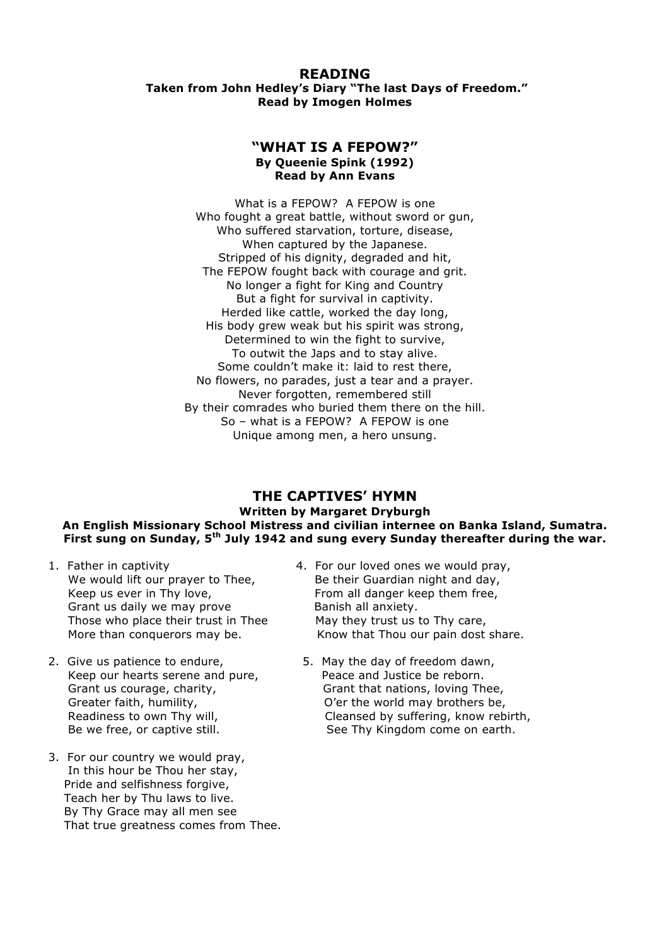# **READING**

#### **Taken from John Hedley's Diary "The last Days of Freedom." Read by Imogen Holmes**

#### **"WHAT IS A FEPOW?" By Queenie Spink (1992) Read by Ann Evans**

What is a FEPOW? A FEPOW is one Who fought a great battle, without sword or gun, Who suffered starvation, torture, disease, When captured by the Japanese. Stripped of his dignity, degraded and hit, The FEPOW fought back with courage and grit. No longer a fight for King and Country But a fight for survival in captivity. Herded like cattle, worked the day long, His body grew weak but his spirit was strong, Determined to win the fight to survive, To outwit the Japs and to stay alive. Some couldn't make it: laid to rest there, No flowers, no parades, just a tear and a prayer. Never forgotten, remembered still By their comrades who buried them there on the hill. So – what is a FEPOW? A FEPOW is one Unique among men, a hero unsung.

#### **THE CAPTIVES' HYMN Written by Margaret Dryburgh An English Missionary School Mistress and civilian internee on Banka Island, Sumatra. First sung on Sunday, 5th July 1942 and sung every Sunday thereafter during the war.**

- We would lift our prayer to Thee, Be their Guardian night and day, Keep us ever in Thy love, **From all danger keep them free**, Grant us daily we may prove Banish all anxiety. Those who place their trust in Thee May they trust us to Thy care,
- 2. Give us patience to endure, The State May the day of freedom dawn, Keep our hearts serene and pure, Peace and Justice be reborn.
- 3. For our country we would pray, In this hour be Thou her stay, Pride and selfishness forgive, Teach her by Thu laws to live. By Thy Grace may all men see That true greatness comes from Thee.
- 1. Father in captivity 4. For our loved ones we would pray, More than conquerors may be. Know that Thou our pain dost share.
	- Grant us courage, charity, Grant that nations, loving Thee, Greater faith, humility, and the C'er the world may brothers be, Readiness to own Thy will, The Summan Cleansed by suffering, know rebirth, Be we free, or captive still. See Thy Kingdom come on earth.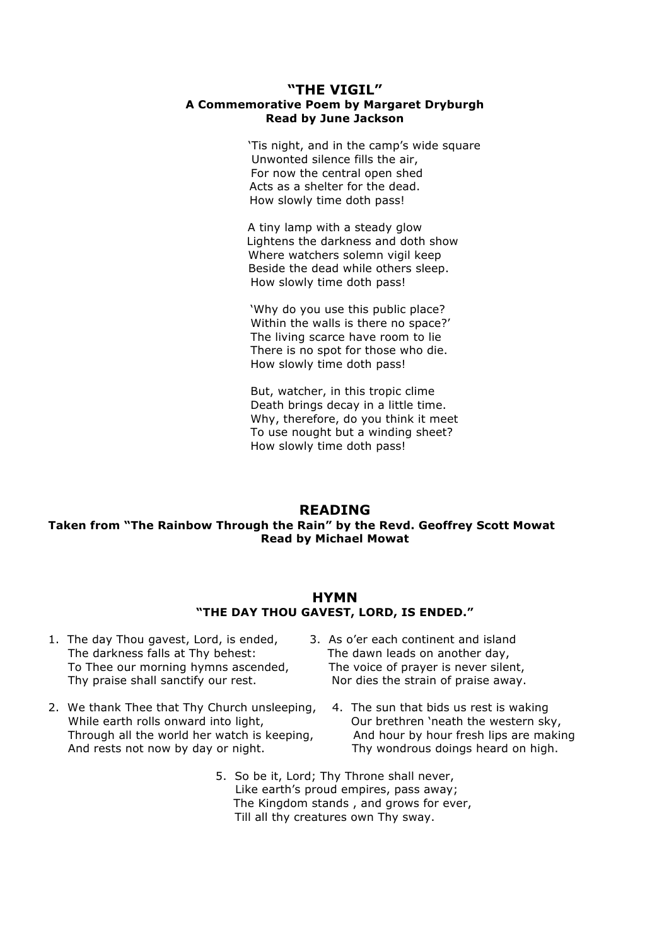#### **"THE VIGIL" A Commemorative Poem by Margaret Dryburgh Read by June Jackson**

 'Tis night, and in the camp's wide square Unwonted silence fills the air, For now the central open shed Acts as a shelter for the dead. How slowly time doth pass!

A tiny lamp with a steady glow Lightens the darkness and doth show Where watchers solemn vigil keep Beside the dead while others sleep. How slowly time doth pass!

'Why do you use this public place? Within the walls is there no space?' The living scarce have room to lie There is no spot for those who die. How slowly time doth pass!

But, watcher, in this tropic clime Death brings decay in a little time. Why, therefore, do you think it meet To use nought but a winding sheet? How slowly time doth pass!

#### **READING**

#### **Taken from "The Rainbow Through the Rain" by the Revd. Geoffrey Scott Mowat Read by Michael Mowat**

#### **HYMN "THE DAY THOU GAVEST, LORD, IS ENDED."**

- 1. The day Thou gavest, Lord, is ended, 3. As o'er each continent and island The darkness falls at Thy behest: The dawn leads on another day, To Thee our morning hymns ascended, The voice of prayer is never silent, Thy praise shall sanctify our rest. Nor dies the strain of praise away.
- 2. We thank Thee that Thy Church unsleeping, 4. The sun that bids us rest is waking While earth rolls onward into light. Our brethren 'neath the western sky, Through all the world her watch is keeping, and hour by hour fresh lips are making And rests not now by day or night. Thy wondrous doings heard on high.
- -
	- 5. So be it, Lord; Thy Throne shall never, Like earth's proud empires, pass away; The Kingdom stands , and grows for ever, Till all thy creatures own Thy sway.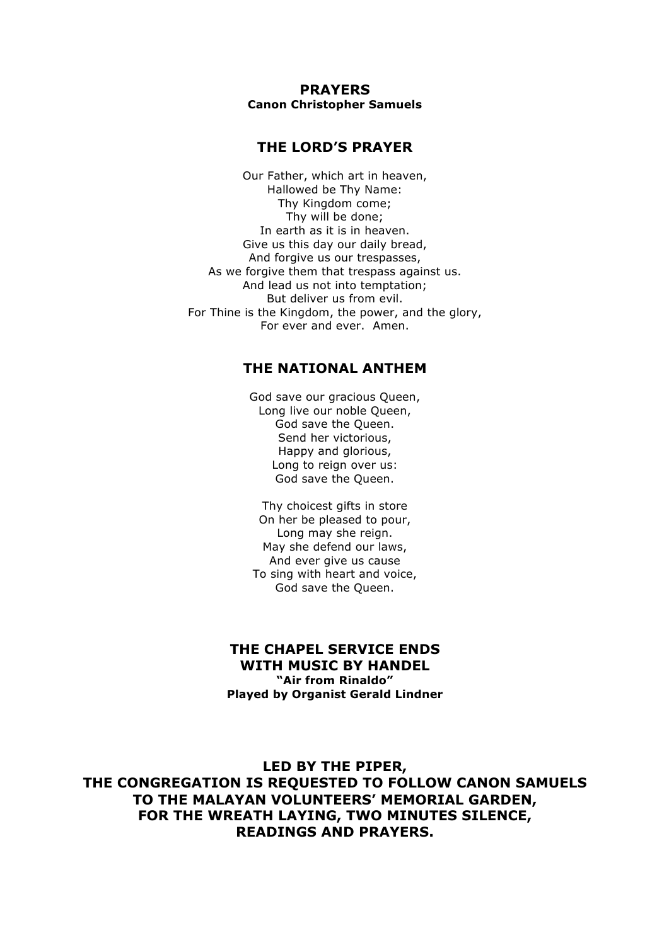**PRAYERS Canon Christopher Samuels**

# **THE LORD'S PRAYER**

Our Father, which art in heaven, Hallowed be Thy Name: Thy Kingdom come; Thy will be done; In earth as it is in heaven. Give us this day our daily bread, And forgive us our trespasses, As we forgive them that trespass against us. And lead us not into temptation; But deliver us from evil. For Thine is the Kingdom, the power, and the glory, For ever and ever. Amen.

# **THE NATIONAL ANTHEM**

God save our gracious Queen, Long live our noble Queen, God save the Queen. Send her victorious, Happy and glorious, Long to reign over us: God save the Queen.

Thy choicest gifts in store On her be pleased to pour, Long may she reign. May she defend our laws, And ever give us cause To sing with heart and voice, God save the Queen.

#### **THE CHAPEL SERVICE ENDS WITH MUSIC BY HANDEL "Air from Rinaldo" Played by Organist Gerald Lindner**

**LED BY THE PIPER, THE CONGREGATION IS REQUESTED TO FOLLOW CANON SAMUELS TO THE MALAYAN VOLUNTEERS' MEMORIAL GARDEN, FOR THE WREATH LAYING, TWO MINUTES SILENCE, READINGS AND PRAYERS.**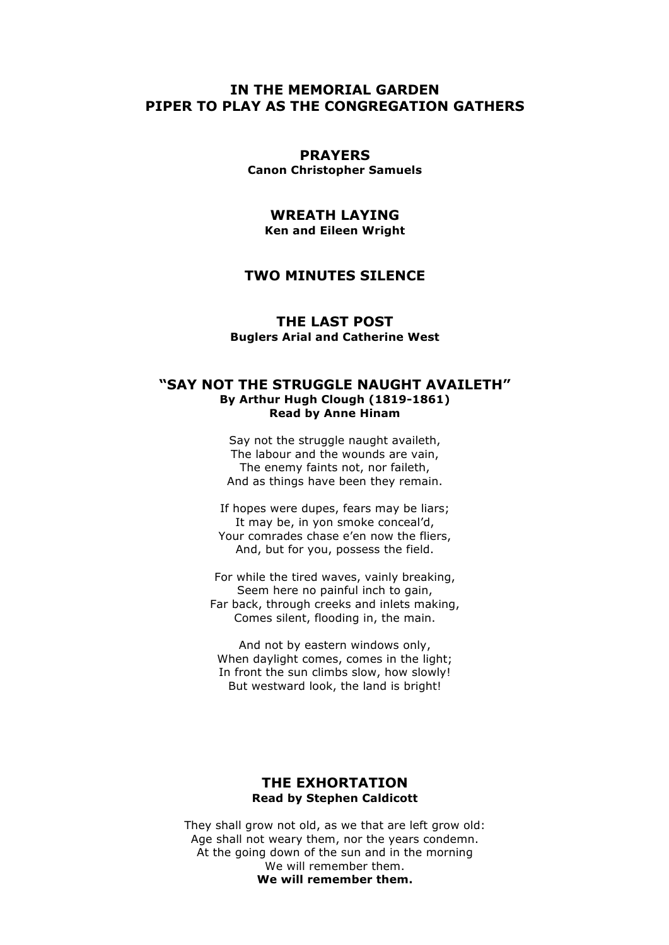# **IN THE MEMORIAL GARDEN PIPER TO PLAY AS THE CONGREGATION GATHERS**

# **PRAYERS**

**Canon Christopher Samuels**

# **WREATH LAYING Ken and Eileen Wright**

# **TWO MINUTES SILENCE**

**THE LAST POST Buglers Arial and Catherine West** 

#### **"SAY NOT THE STRUGGLE NAUGHT AVAILETH" By Arthur Hugh Clough (1819-1861) Read by Anne Hinam**

Say not the struggle naught availeth, The labour and the wounds are vain, The enemy faints not, nor faileth, And as things have been they remain.

If hopes were dupes, fears may be liars; It may be, in yon smoke conceal'd, Your comrades chase e'en now the fliers, And, but for you, possess the field.

For while the tired waves, vainly breaking, Seem here no painful inch to gain, Far back, through creeks and inlets making, Comes silent, flooding in, the main.

And not by eastern windows only, When daylight comes, comes in the light; In front the sun climbs slow, how slowly! But westward look, the land is bright!

#### **THE EXHORTATION Read by Stephen Caldicott**

They shall grow not old, as we that are left grow old: Age shall not weary them, nor the years condemn. At the going down of the sun and in the morning We will remember them. **We will remember them.**